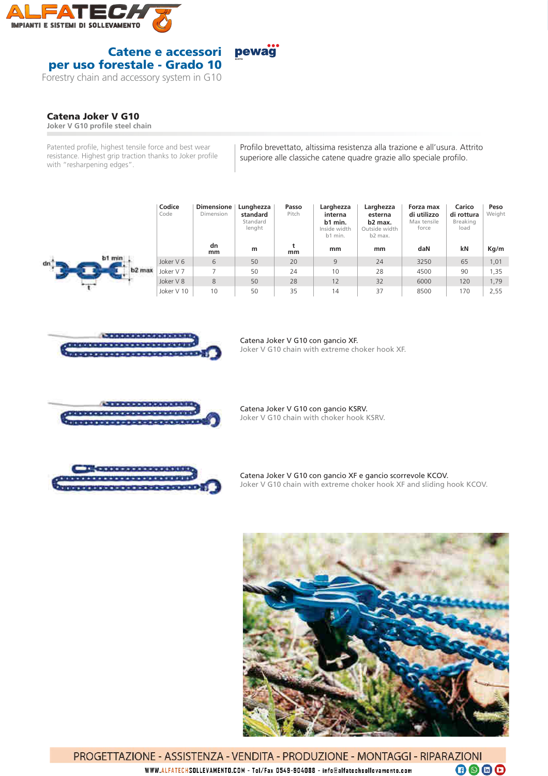

## Catene e accessori pewag per uso forestale - Grado 10

Forestry chain and accessory system in G10

## Catena Joker V G10

**Joker V G10 profile steel chain** 

Patented profile, highest tensile force and best wear resistance. Highest grip traction thanks to Joker profile with "resharpening edges".

Profilo brevettato, altissima resistenza alla trazione e all'usura. Attrito superiore alle classiche catene quadre grazie allo speciale profilo.

|                                     | Codice<br>Code | <b>Dimensione</b><br>Dimension | Lunghezza<br>standard<br>Standard<br>lenght | Passo<br>Pitch | Larghezza<br>interna<br>b1 min.<br>Inside width<br>b1 min. | Larghezza<br>esterna<br>b2 max.<br>Outside width<br>b2 max. | Forza max<br>di utilizzo<br>Max tensile<br>force | Carico<br>di rottura<br>Breaking<br>load | Peso<br>Weight |
|-------------------------------------|----------------|--------------------------------|---------------------------------------------|----------------|------------------------------------------------------------|-------------------------------------------------------------|--------------------------------------------------|------------------------------------------|----------------|
|                                     |                | dn<br>mm                       | m                                           | mm             | mm                                                         | mm                                                          | daN                                              | kN                                       | Kg/m           |
| h1 min<br>dn.<br>b2 max<br>$\cdots$ | Joker V 6      | 6                              | 50                                          | 20             | 9                                                          | 24                                                          | 3250                                             | 65                                       | 1,01           |
|                                     | Joker V 7      |                                | 50                                          | 24             | 10                                                         | 28                                                          | 4500                                             | 90                                       | 1,35           |
|                                     | Joker V 8      | 8                              | 50                                          | 28             | 12                                                         | 32                                                          | 6000                                             | 120                                      | 1,79           |
|                                     | Joker V 10     | 10                             | 50                                          | 35             | 14                                                         | 37                                                          | 8500                                             | 170                                      | 2,55           |



Catena Joker V G10 con gancio XF.

Joker V G10 chain with extreme choker hook XF.



Catena Joker V G10 con gancio KSRV. Joker V G10 chain with choker hook KSRV.



Catena Joker V G10 con gancio XF e gancio scorrevole KCOV. Joker V G10 chain with extreme choker hook XF and sliding hook KCOV.



PROGETTAZIONE - ASSISTENZA - VENDITA - PRODUZIONE - MONTAGGI - RIPARAZIONI  $\n **0**\n **0**\n **0**\n$ WWW.ALFATECHSOLLEVAMENTO.COM - Tel/Fax 0549-904088 - info@alfatechsollevamento.com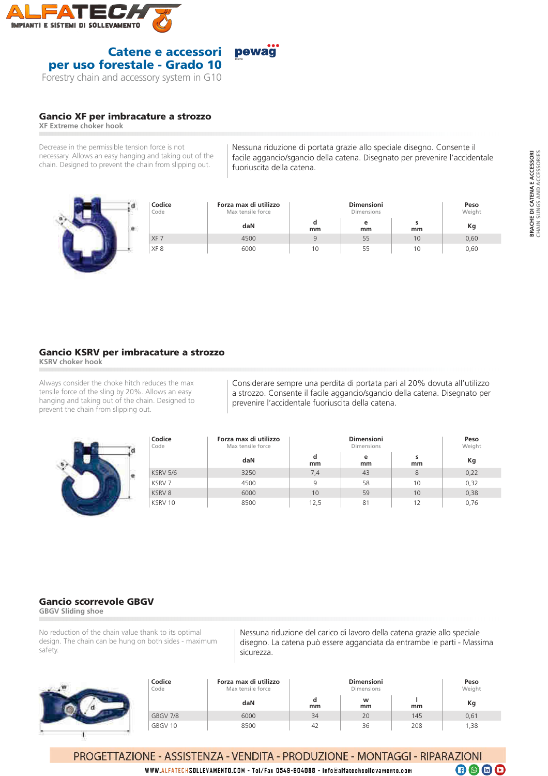



## Gancio XF per imbracature a strozzo

**XF Extreme choker hook**

Decrease in the permissible tension force is not necessary. Allows an easy hanging and taking out of the chain. Designed to prevent the chain from slipping out.

Nessuna riduzione di portata grazie allo speciale disegno. Consente il facile aggancio/sgancio della catena. Disegnato per prevenire l'accidentale fuoriuscita della catena.

| Codice<br>Code |                 | Forza max di utilizzo<br>Max tensile force |    | Peso<br>Weight |    |      |
|----------------|-----------------|--------------------------------------------|----|----------------|----|------|
|                |                 | daN                                        | mm | е<br>mm        | mm | Кg   |
|                | XF 7            | 4500                                       |    | 55             | 10 | 0,60 |
|                | XF <sub>8</sub> | 6000                                       | 10 | 55             |    | 0,60 |

## Gancio KSRV per imbracature a strozzo

**KSRV choker hook**

Always consider the choke hitch reduces the max tensile force of the sling by 20%. Allows an easy hanging and taking out of the chain. Designed to prevent the chain from slipping out.



Considerare sempre una perdita di portata pari al 20% dovuta all'utilizzo a strozzo. Consente il facile aggancio/sgancio della catena. Disegnato per prevenire l'accidentale fuoriuscita della catena.

| Codice<br>Code  | Forza max di utilizzo<br>Max tensile force |         | Peso<br>Weight |         |      |
|-----------------|--------------------------------------------|---------|----------------|---------|------|
|                 | daN                                        | d<br>mm | е<br>mm        | s<br>mm | Кg   |
| <b>KSRV 5/6</b> | 3250                                       | 7,4     | 43             | 8       | 0,22 |
| KSRV 7          | 4500                                       | 9       | 58             | 10      | 0,32 |
| KSRV8           | 6000                                       | 10      | 59             | 10      | 0.38 |
| KSRV 10         | 8500                                       | 12,5    | 81             | 12      | 0,76 |

## Gancio scorrevole GBGV

**GBGV Sliding shoe**

No reduction of the chain value thank to its optimal design. The chain can be hung on both sides - maximum safety.

Nessuna riduzione del carico di lavoro della catena grazie allo speciale disegno. La catena può essere agganciata da entrambe le parti - Massima sicurezza.

| Codice<br>Code | Forza max di utilizzo<br>Max tensile force |    | Peso<br>Weight |     |       |
|----------------|--------------------------------------------|----|----------------|-----|-------|
|                | daN                                        | mm | w<br>mm        | mm  | Кg    |
| GBGV 7/8       | 6000                                       | 34 | 20             | 145 | 0,61  |
| GBGV 10        | 8500                                       | 42 | 36             | 208 | 38, ا |

PROGETTAZIONE - ASSISTENZA - VENDITA - PRODUZIONE - MONTAGGI - RIPARAZIONI  $\overline{0}$  @  $\Theta$ 

WWW.ALFATECHSOLLEVAMENTO.COM - Tel/Fax 0549-904088 - info@alfatechsollevamento.com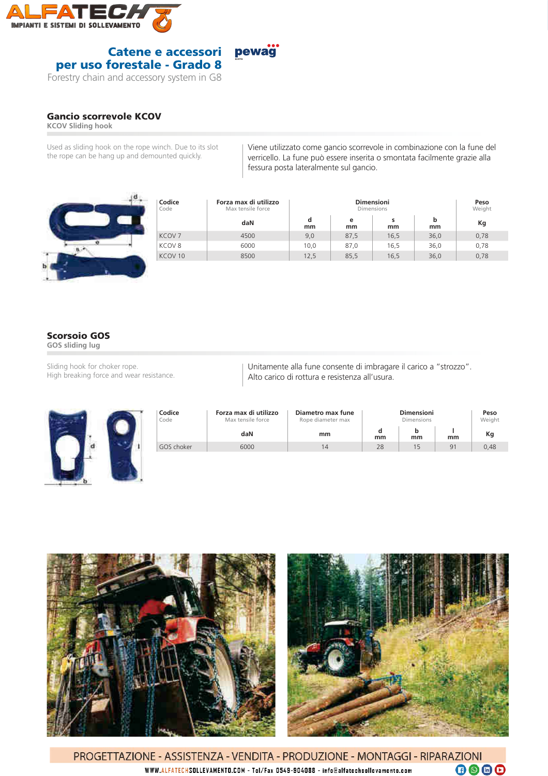

#### pewag<sup>"</sup> Catene e accessori per uso forestale - Grado 8

Forestry chain and accessory system in G8

## Gancio scorrevole KCOV

**KCOV Sliding hook**

Used as sliding hook on the rope winch. Due to its slot the rope can be hang up and demounted quickly.

Viene utilizzato come gancio scorrevole in combinazione con la fune del verricello. La fune può essere inserita o smontata facilmente grazie alla fessura posta lateralmente sul gancio.

| Codice<br>Code     | Forza max di utilizzo<br>Max tensile force |         | Peso<br>Weight |         |         |      |
|--------------------|--------------------------------------------|---------|----------------|---------|---------|------|
|                    | daN                                        | d<br>mm | e<br>mm        | s<br>mm | b<br>mm | Кg   |
| KCOV <sub>7</sub>  | 4500                                       | 9,0     | 87,5           | 16.5    | 36,0    | 0,78 |
| KCOV <sub>8</sub>  | 6000                                       | 10,0    | 87.0           | 16,5    | 36,0    | 0,78 |
| KCOV <sub>10</sub> | 8500                                       | 12,5    | 85,5           | 16,5    | 36,0    | 0,78 |

# Scorsoio GOS

**GOS sliding lug**

Sliding hook for choker rope. High breaking force and wear resistance. Unitamente alla fune consente di imbragare il carico a "strozzo". Alto carico di rottura e resistenza all'usura.





PROGETTAZIONE - ASSISTENZA - VENDITA - PRODUZIONE - MONTAGGI - RIPARAZIONI  $\n **0**\n **0**\n **0**\n$ WWW.ALFATECHSOLLEVAMENTO.COM - Tel/Fax 0549-904088 - info@alfatechsollevamento.com